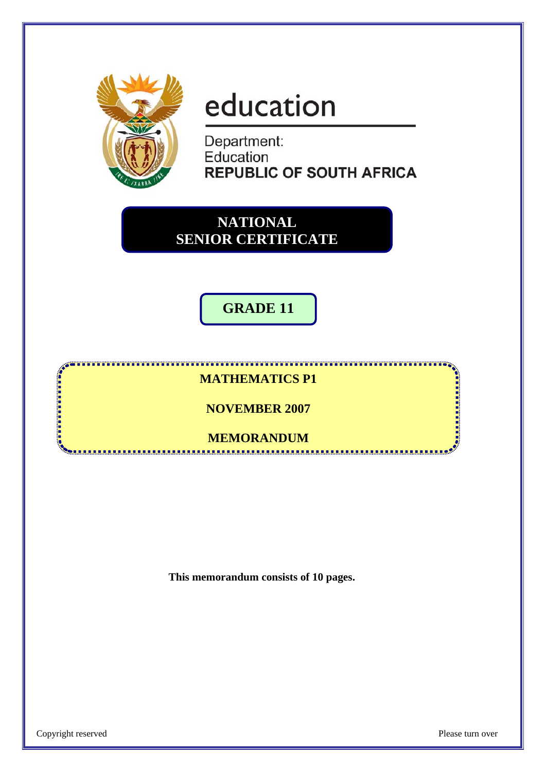

# education

Department: Education **REPUBLIC OF SOUTH AFRICA** 

**NATIONAL SENIOR CERTIFICATE**

**GRADE 11** 

#### **MATHEMATICS P1**

**NOVEMBER 2007** 

**MEMORANDUM** .................................

**This memorandum consists of 10 pages.** 

医血管性血管 医血管性血管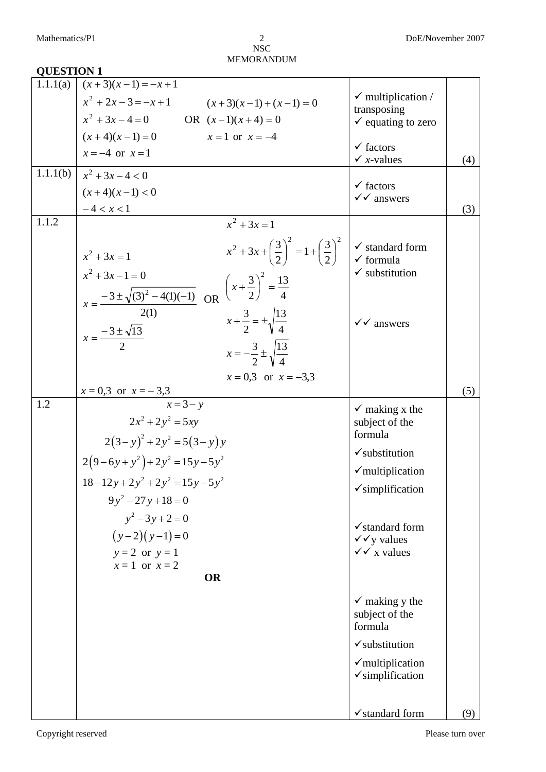#### **QUESTION 1**  1.1.1(a)  $x = -4$  or  $x = 1$  $(x+4)(x-1) = 0$  $x^2 + 3x - 4 = 0$  OR  $(x-1)(x+4) = 0$  $x^2 + 2x - 3 = -x + 1$  $(x+3)(x-1) = -x+1$  $x = 1$  or  $x = -4$  $(x+3)(x-1) + (x-1) = 0$  $\checkmark$  multiplication / transposing  $\checkmark$  equating to zero  $\checkmark$  factors  $\checkmark$  *x*-values (4) 1.1.1(b)  $-4 < x < 1$  $(x+4)(x-1) < 0$  $x^2 + 3x - 4 < 0$  $\checkmark$  factors  $\checkmark$  answers (3) 1.1.2 2  $x = \frac{-3 \pm \sqrt{13}}{2}$ 2(1)  $3 \pm \sqrt{(3)^2 - 4(1)(-1)}$  $3x - 1 = 0$  $x^2 + 3x = 1$ 2 2  $=\frac{-3\pm\sqrt{(3)^2-4(1)(-1)}}{2(1)}$  $+3x-1=$ *x*  $x^2 + 3x$  OR  $x = 0,3$  or  $x = -3,3$ 4 13 2  $x = -\frac{3}{3} \pm \frac{3}{3}$ 2 V 4 13 3 4 13 2  $3)^2$ 2  $1 + \frac{3}{2}$ 2  $3x + \left(\frac{3}{2}\right)^2 = 1 + \left(\frac{3}{2}\right)^2$  $x^2 + 3x = 1$  $2^2+3x+\left(\frac{3}{2}\right) = 1+\left(\frac{3}{2}\right)$  $x + \frac{3}{2} = \pm$  $\left(x+\frac{3}{2}\right)^2=$ ⎝  $(x+$ ⎠  $\left(\frac{3}{2}\right)$  $\left(\frac{3}{2}\right)^2 = 1 + \left(\frac{3}{2}\right)^2$ ⎝  $x^2 + 3x +$  $x = 0,3$  or  $x = -3,3$  $\checkmark$  standard form  $\checkmark$  formula  $\checkmark$  substitution  $\checkmark$  answers (5) 1.2  $2(3-y)^2 + 2y^2 = 5(3-y)y$  $2(9-6y+y^2)+2y^2=15y-5y^2$  $(y-2)(y-1) = 0$  $2x^2 + 2y^2 = 5xy$  $18 - 12y + 2y^2 + 2y^2 = 15y - 5y^2$  $9y^2 - 27y + 18 = 0$  $y^2 - 3y + 2 = 0$  $x = 3 - y$  $y = 2$  or  $y = 1$  $x=1$  or  $x=2$ **OR**   $\checkmark$  making x the subject of the formula  $\checkmark$ substitution  $\checkmark$  multiplication  $\checkmark$ simplification  $\checkmark$ standard form  $\checkmark$  v values  $\sqrt{x}$  values  $\checkmark$  making y the subject of the formula  $\checkmark$ substitution  $\checkmark$  multiplication  $\checkmark$ simplification

 $\checkmark$  standard form (9)

 $\mathcal{L}$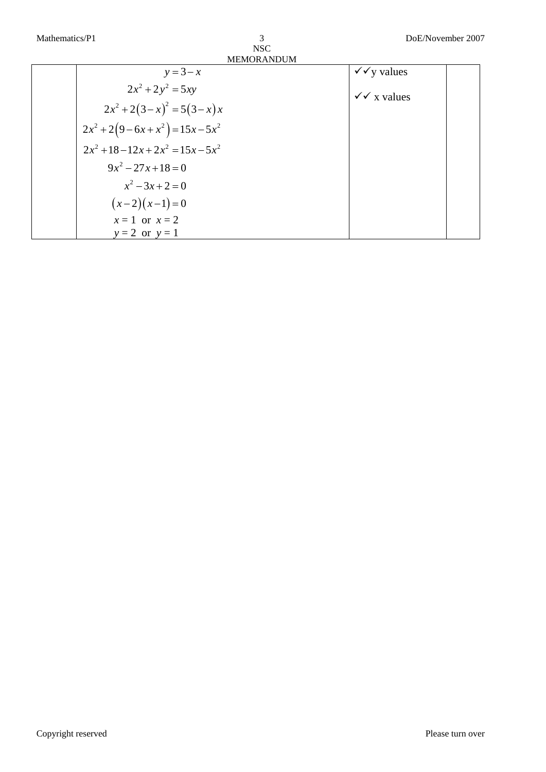| 3                 |
|-------------------|
| NSC.              |
| <b>MEMORANDUM</b> |

| $y = 3 - x$                 | шлиокетовн<br>$\sqrt{\sqrt{y}}$ values |
|-----------------------------|----------------------------------------|
| $2x^2 + 2y^2 = 5xy$         | $\checkmark \checkmark$ x values       |
| $2x^2+2(3-x)^2=5(3-x)x$     |                                        |
| $2x^2+2(9-6x+x^2)=15x-5x^2$ |                                        |
| $2x^2+18-12x+2x^2=15x-5x^2$ |                                        |
| $9x^2 - 27x + 18 = 0$       |                                        |
| $x^2-3x+2=0$                |                                        |
| $(x-2)(x-1)=0$              |                                        |
| $x=1$ or $x=2$              |                                        |
| $y = 2$ or $y = 1$          |                                        |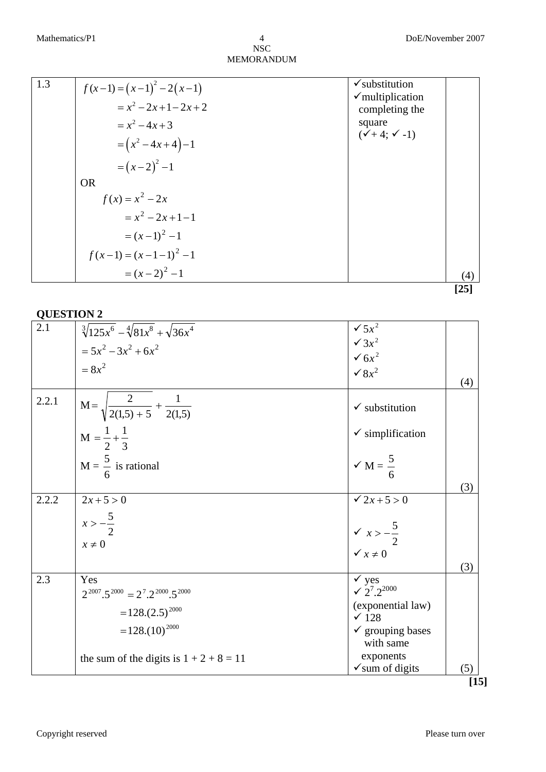| 1.3 | $f(x-1) = (x-1)^{2} - 2(x-1)$ | $\checkmark$ substitution                     |          |
|-----|-------------------------------|-----------------------------------------------|----------|
|     | $= x^2 - 2x + 1 - 2x + 2$     | $\checkmark$ multiplication<br>completing the |          |
|     | $= x^2 - 4x + 3$              | square                                        |          |
|     | $=(x^2-4x+4)-1$               | $({\sqrt{+4}}; {\sqrt{-1}})$                  |          |
|     | $=(x-2)^2-1$                  |                                               |          |
|     | <b>OR</b>                     |                                               |          |
|     | $f(x) = x^2 - 2x$             |                                               |          |
|     | $= x^2 - 2x + 1 - 1$          |                                               |          |
|     | $=(x-1)^2-1$                  |                                               |          |
|     | $f(x-1) = (x-1-1)^2 - 1$      |                                               |          |
|     | $=(x-2)^2-1$                  |                                               | (4       |
|     |                               |                                               | [ $25$ ] |

| 2.1   | $\sqrt[3]{125x^6} - \sqrt[4]{81x^8} + \sqrt{36x^4}$           | $\sqrt{5x^2}$                                                       |        |
|-------|---------------------------------------------------------------|---------------------------------------------------------------------|--------|
|       | $= 5x^2 - 3x^2 + 6x^2$                                        | $\sqrt{3x^2}$                                                       |        |
|       |                                                               | $\sqrt{6x^2}$                                                       |        |
|       | $= 8x^2$                                                      | $\sqrt{8x^2}$                                                       |        |
|       |                                                               |                                                                     | (4)    |
| 2.2.1 | $M = \sqrt{\frac{2}{2(1,5) + 5} + \frac{1}{2(1,5)}}$          | $\checkmark$ substitution                                           |        |
|       | $M = \frac{1}{2} + \frac{1}{3}$                               | $\checkmark$ simplification                                         |        |
|       | $M = \frac{5}{6}$ is rational                                 | $\sqrt{M} = \frac{5}{6}$                                            |        |
| 2.2.2 | $2x+5>0$                                                      | $\sqrt{2x+5} > 0$                                                   | (3)    |
|       |                                                               |                                                                     |        |
|       | $x > -\frac{5}{2}$                                            |                                                                     |        |
|       | $x \neq 0$                                                    | $\begin{cases} \sqrt{x} > -\frac{5}{2} \\ \sqrt{x} > 0 \end{cases}$ |        |
|       |                                                               |                                                                     |        |
|       |                                                               |                                                                     | (3)    |
| 2.3   | Yes                                                           | $\checkmark$ yes<br>$\sqrt{2^7} \cdot 2^{2000}$                     |        |
|       | $2^{2007} \cdot 5^{2000} = 2^7 \cdot 2^{2000} \cdot 5^{2000}$ | (exponential law)                                                   |        |
|       | $=128.(2.5)^{2000}$                                           | $\times$ 128                                                        |        |
|       | $=128(10)^{2000}$                                             | $\checkmark$ grouping bases                                         |        |
|       |                                                               | with same                                                           |        |
|       | the sum of the digits is $1 + 2 + 8 = 11$                     | exponents                                                           |        |
|       |                                                               | $\checkmark$ sum of digits                                          | (5)    |
|       |                                                               |                                                                     | $[15]$ |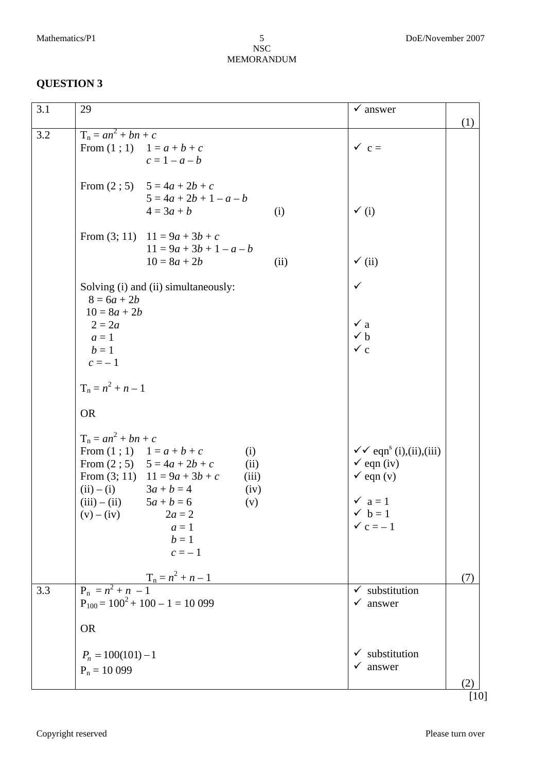| (1)<br>$T_n = an^2 + bn + c$<br>3.2<br>$\checkmark$ c =<br>From $(1; 1)$ $1 = a + b + c$<br>$c = 1 - a - b$<br>From $(2; 5)$ 5 = 4a + 2b + c<br>$5 = 4a + 2b + 1 - a - b$<br>$\checkmark$ (i)<br>$4 = 3a + b$<br>(i)<br>From (3; 11) $11 = 9a + 3b + c$<br>$11 = 9a + 3b + 1 - a - b$<br>$\checkmark$ (ii)<br>$10 = 8a + 2b$<br>(ii)<br>$\checkmark$<br>Solving (i) and (ii) simultaneously:<br>$8 = 6a + 2b$<br>$10 = 8a + 2b$<br>$\checkmark$ a<br>$2 = 2a$<br>$\checkmark$ b<br>$a=1$<br>$\checkmark$ c<br>$b=1$<br>$c=-1$<br>$T_n = n^2 + n - 1$<br><b>OR</b><br>$T_n = an^2 + bn + c$<br>$\checkmark$ eqn <sup>s</sup> (i), (ii), (iii)<br>From $(1; 1)$ $1 = a + b + c$<br>(i)<br>From $(2; 5)$ 5 = 4a + 2b + c<br>$\checkmark$ eqn (iv)<br>(ii)<br>$\checkmark$ eqn (v)<br>From (3; 11) $11 = 9a + 3b + c$<br>(iii)<br>(ii) $-$ (i) $3a + b = 4$<br>(iv)<br>$\checkmark$ a = 1<br>(iii) $-$ (ii) $5a + b = 6$<br>(v)<br>$\checkmark$ b = 1<br>$(v) - (iv)$ 2 <i>a</i> = 2<br>$\checkmark$ c = -1<br>$a=1$<br>$b=1$<br>$c=-1$<br>$T_n = n^2 + n - 1$<br>(7)<br>$P_n = n^2 + n - 1$<br>3.3<br>substitution<br>$P_{100} = 100^2 + 100 - 1 = 10099$<br>answer<br>✓<br><b>OR</b><br>$\checkmark$ substitution<br>$P_n = 100(101) - 1$<br>answer<br>✓<br>$P_n = 10099$<br>(2) | 3.1 | 29 | $\checkmark$ answer |        |
|--------------------------------------------------------------------------------------------------------------------------------------------------------------------------------------------------------------------------------------------------------------------------------------------------------------------------------------------------------------------------------------------------------------------------------------------------------------------------------------------------------------------------------------------------------------------------------------------------------------------------------------------------------------------------------------------------------------------------------------------------------------------------------------------------------------------------------------------------------------------------------------------------------------------------------------------------------------------------------------------------------------------------------------------------------------------------------------------------------------------------------------------------------------------------------------------------------------------------------------------------------------------------------|-----|----|---------------------|--------|
|                                                                                                                                                                                                                                                                                                                                                                                                                                                                                                                                                                                                                                                                                                                                                                                                                                                                                                                                                                                                                                                                                                                                                                                                                                                                                |     |    |                     |        |
|                                                                                                                                                                                                                                                                                                                                                                                                                                                                                                                                                                                                                                                                                                                                                                                                                                                                                                                                                                                                                                                                                                                                                                                                                                                                                |     |    |                     |        |
|                                                                                                                                                                                                                                                                                                                                                                                                                                                                                                                                                                                                                                                                                                                                                                                                                                                                                                                                                                                                                                                                                                                                                                                                                                                                                |     |    |                     |        |
|                                                                                                                                                                                                                                                                                                                                                                                                                                                                                                                                                                                                                                                                                                                                                                                                                                                                                                                                                                                                                                                                                                                                                                                                                                                                                |     |    |                     |        |
|                                                                                                                                                                                                                                                                                                                                                                                                                                                                                                                                                                                                                                                                                                                                                                                                                                                                                                                                                                                                                                                                                                                                                                                                                                                                                |     |    |                     |        |
|                                                                                                                                                                                                                                                                                                                                                                                                                                                                                                                                                                                                                                                                                                                                                                                                                                                                                                                                                                                                                                                                                                                                                                                                                                                                                |     |    |                     |        |
|                                                                                                                                                                                                                                                                                                                                                                                                                                                                                                                                                                                                                                                                                                                                                                                                                                                                                                                                                                                                                                                                                                                                                                                                                                                                                |     |    |                     |        |
|                                                                                                                                                                                                                                                                                                                                                                                                                                                                                                                                                                                                                                                                                                                                                                                                                                                                                                                                                                                                                                                                                                                                                                                                                                                                                |     |    |                     |        |
|                                                                                                                                                                                                                                                                                                                                                                                                                                                                                                                                                                                                                                                                                                                                                                                                                                                                                                                                                                                                                                                                                                                                                                                                                                                                                |     |    |                     | $[10]$ |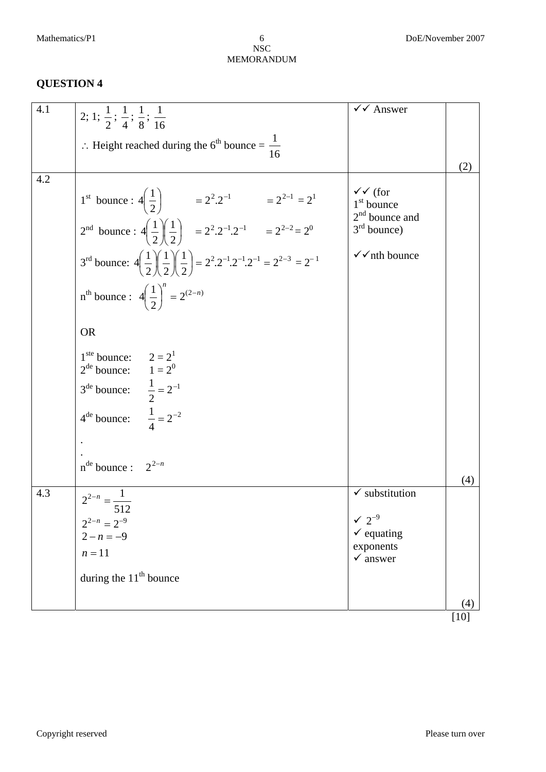| 4.1 | 2; 1; $\frac{1}{2}$ ; $\frac{1}{4}$ ; $\frac{1}{8}$ ; $\frac{1}{16}$                                                                                                                                                   | $\checkmark$ Answer                                                    |      |
|-----|------------------------------------------------------------------------------------------------------------------------------------------------------------------------------------------------------------------------|------------------------------------------------------------------------|------|
|     | ∴ Height reached during the 6 <sup>th</sup> bounce = $\frac{1}{16}$                                                                                                                                                    |                                                                        |      |
|     |                                                                                                                                                                                                                        |                                                                        | (2)  |
| 4.2 | 1 <sup>st</sup> bounce: $4\left(\frac{1}{2}\right)$ = $2^2 \cdot 2^{-1}$ = $2^{2-1} = 2^1$<br>$2^{nd}$ bounce: $4\left(\frac{1}{2}\right)\left(\frac{1}{2}\right)$ = $2^2 \cdot 2^{-1} \cdot 2^{-1}$ = $2^{2-2} = 2^0$ | $\checkmark$ (for<br>$1st$ bounce<br>$2nd$ bounce and<br>$3rd$ bounce) |      |
|     | 3 <sup>rd</sup> bounce: $4\left(\frac{1}{2}\right)\left(\frac{1}{2}\right)\left(\frac{1}{2}\right) = 2^2 \cdot 2^{-1} \cdot 2^{-1} = 2^{2-3} = 2^{-1}$                                                                 | $\checkmark$ nth bounce                                                |      |
|     | $n^{th}$ bounce: $4\left(\frac{1}{2}\right)^n = 2^{(2-n)}$                                                                                                                                                             |                                                                        |      |
|     | <b>OR</b>                                                                                                                                                                                                              |                                                                        |      |
|     | 1 <sup>ste</sup> bounce: $2 = 2^1$<br>$2^{de}$ bounce: $1 = 2^0$                                                                                                                                                       |                                                                        |      |
|     | $3^{\text{de}}$ bounce: $\frac{1}{2} = 2^{-1}$                                                                                                                                                                         |                                                                        |      |
|     | $4^{\text{de}}$ bounce: $\frac{1}{4} = 2^{-2}$                                                                                                                                                                         |                                                                        |      |
|     |                                                                                                                                                                                                                        |                                                                        |      |
|     | $n^{de}$ bounce : $2^{2-n}$                                                                                                                                                                                            |                                                                        | (4)  |
| 4.3 | $2^{2-n} = \frac{1}{2}$                                                                                                                                                                                                | $\checkmark$ substitution                                              |      |
|     | 512                                                                                                                                                                                                                    | $\sqrt{2}^{-9}$                                                        |      |
|     | $2^{2-n} = 2^{-9}$<br>$2-n = -9$                                                                                                                                                                                       | $\checkmark$ equating                                                  |      |
|     | $n=11$                                                                                                                                                                                                                 | exponents<br>$\checkmark$ answer                                       |      |
|     | during the $11th$ bounce                                                                                                                                                                                               |                                                                        |      |
|     |                                                                                                                                                                                                                        |                                                                        | (4)  |
|     |                                                                                                                                                                                                                        |                                                                        | [10] |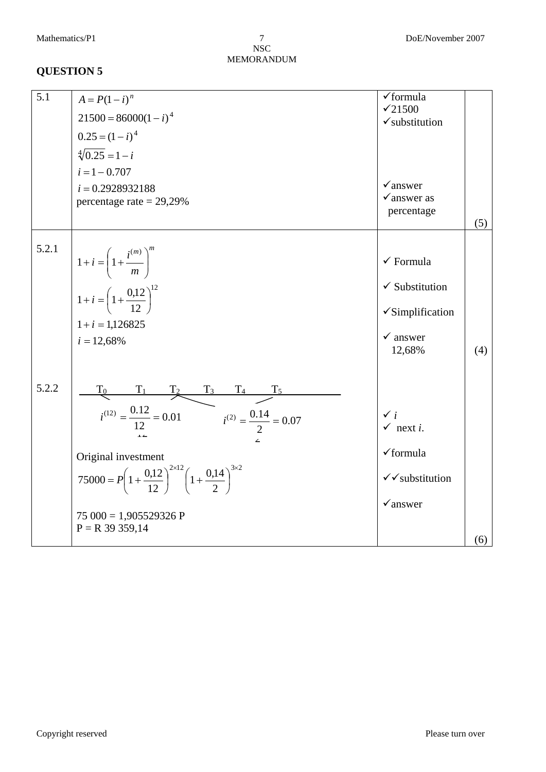NSC MEMORANDUM 7

| 5.1   | $A = P(1 - i)^n$                                                                                                                                                                                                                                                      | $\checkmark$ formula                                                                                                       |     |
|-------|-----------------------------------------------------------------------------------------------------------------------------------------------------------------------------------------------------------------------------------------------------------------------|----------------------------------------------------------------------------------------------------------------------------|-----|
|       | $21500 = 86000(1 - i)^4$                                                                                                                                                                                                                                              | $\times 21500$<br>$\checkmark$ substitution                                                                                |     |
|       | $0.25 = (1 - i)^4$                                                                                                                                                                                                                                                    |                                                                                                                            |     |
|       | $\sqrt[4]{0.25} = 1 - i$                                                                                                                                                                                                                                              |                                                                                                                            |     |
|       | $i = 1 - 0.707$                                                                                                                                                                                                                                                       |                                                                                                                            |     |
|       | $i = 0.2928932188$<br>percentage rate = $29,29\%$                                                                                                                                                                                                                     | $\checkmark$ answer<br>$\checkmark$ answer as<br>percentage                                                                |     |
|       |                                                                                                                                                                                                                                                                       |                                                                                                                            | (5) |
| 5.2.1 | $1 + i = \left(1 + \frac{i^{(m)}}{m}\right)^m$<br>$1+i = \left(1 + \frac{0.12}{12}\right)^{12}$<br>$1+i=1,126825$<br>$i = 12,68\%$                                                                                                                                    | $\checkmark$ Formula<br>$\checkmark$ Substitution<br>$\checkmark$ Simplification<br>$\checkmark$ answer<br>12,68%          | (4) |
| 5.2.2 | $\frac{T_0}{i^{(12)} = \frac{0.12}{12} = 0.01}$ $\frac{T_3}{i^{(2)} = \frac{0.14}{2} = 0.07}$<br>Original investment<br>75000 = $P\left(1+\frac{0.12}{12}\right)^{2\times12}\left(1+\frac{0.14}{2}\right)^{3\times2}$<br>$75000 = 1,905529326$ P<br>$P = R$ 39 359,14 | $\checkmark$ i<br>$\checkmark$ next <i>i</i> .<br>$\checkmark$ formula<br>$\checkmark$ substitution<br>$\checkmark$ answer |     |
|       |                                                                                                                                                                                                                                                                       |                                                                                                                            | (6) |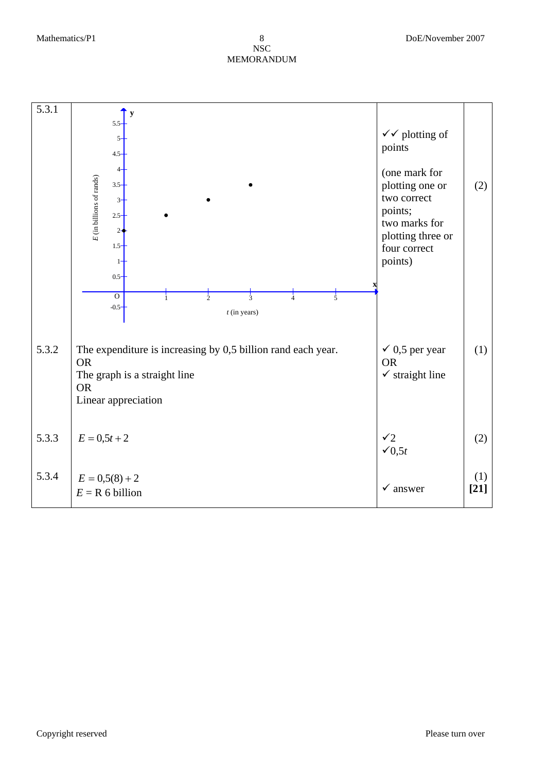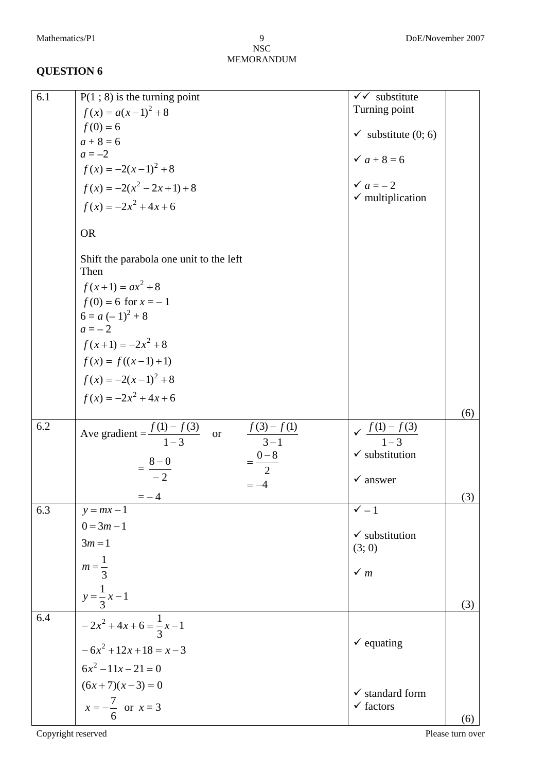| 6.1 | $P(1; 8)$ is the turning point                         | $\checkmark$ substitute                       |
|-----|--------------------------------------------------------|-----------------------------------------------|
|     | $f(x) = a(x-1)^2 + 8$                                  | Turning point                                 |
|     | $f(0) = 6$                                             |                                               |
|     | $a + 8 = 6$                                            | $\checkmark$ substitute (0; 6)                |
|     | $a = -2$                                               |                                               |
|     | $f(x) = -2(x-1)^2 + 8$                                 | $\checkmark$ a + 8 = 6<br>$\checkmark$ a = -2 |
|     | $f(x) = -2(x^2 - 2x + 1) + 8$                          |                                               |
|     | $f(x) = -2x^2 + 4x + 6$                                | $\checkmark$ multiplication                   |
|     | <b>OR</b>                                              |                                               |
|     | Shift the parabola one unit to the left<br>Then        |                                               |
|     | $f(x+1) = ax^2 + 8$                                    |                                               |
|     | $f(0) = 6$ for $x = -1$                                |                                               |
|     | $6 = a (-1)^{2} + 8$                                   |                                               |
|     | $a=-2$                                                 |                                               |
|     | $f(x+1) = -2x^2 + 8$                                   |                                               |
|     | $f(x) = f((x-1)+1)$                                    |                                               |
|     | $f(x) = -2(x-1)^2 + 8$                                 |                                               |
|     | $f(x) = -2x^2 + 4x + 6$                                |                                               |
|     |                                                        | (6)                                           |
| 6.2 | Ave gradient = $\frac{f(1) - f(3)}{1 - 2}$<br>$\alpha$ | $\sqrt{f(1)-f(3)}$<br>$1-3$                   |
|     | $\frac{f(3)-f(1)}{3-1}$                                |                                               |
|     | $=\frac{0-8}{2}$                                       | $\checkmark$ substitution                     |
|     | $=\frac{8-0}{-2}$                                      | $\checkmark$ answer                           |
|     |                                                        |                                               |
| 6.3 | $=-4$<br>$y = mx - 1$                                  | (3)<br>$\checkmark$ - 1                       |
|     | $0 = 3m - 1$                                           |                                               |
|     |                                                        | $\checkmark$ substitution                     |
|     | $3m=1$                                                 | (3; 0)                                        |
|     | $m = \frac{1}{3}$                                      | $\checkmark$ m                                |
|     |                                                        |                                               |
|     | $y = \frac{1}{3}x - 1$                                 | (3)                                           |
| 6.4 | $-2x^2 + 4x + 6 = \frac{1}{3}x - 1$                    |                                               |
|     | $-6x^2 + 12x + 18 = x - 3$                             | $\checkmark$ equating                         |
|     | $6x^2 - 11x - 21 = 0$                                  |                                               |
|     | $(6x+7)(x-3) = 0$                                      | $\checkmark$ standard form                    |
|     | $x = -\frac{7}{6}$ or $x = 3$                          | $\checkmark$ factors                          |
|     |                                                        | (6)                                           |

Copyright reserved Please turn over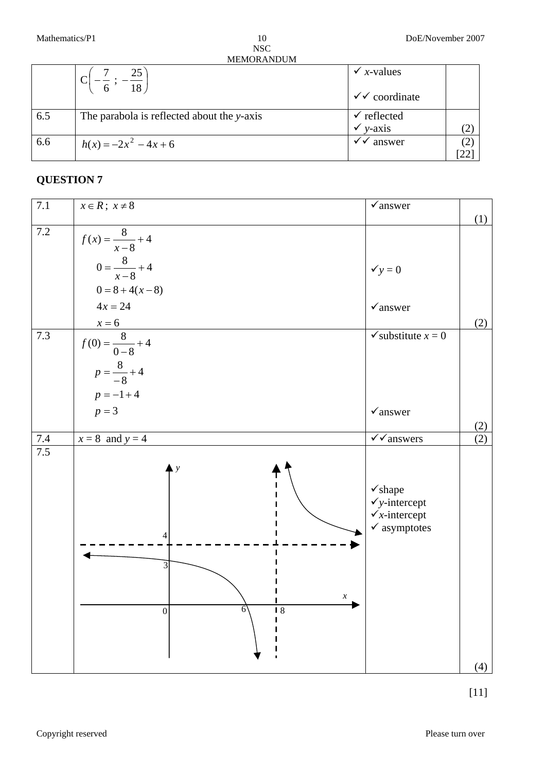NSC MEMORANDUM 10

|     | 25                                         | $\checkmark$ x-values   |  |
|-----|--------------------------------------------|-------------------------|--|
|     | 18                                         | $\checkmark$ coordinate |  |
| 6.5 | The parabola is reflected about the y-axis | $\checkmark$ reflected  |  |
|     |                                            | $v-axis$                |  |
| 6.6 | $h(x) = -2x^2 - 4x + 6$                    | $\sqrt{\sqrt{}}$ answer |  |
|     |                                            |                         |  |

# **QUESTION 7**

| 7.1     | $x \in R$ ; $x \neq 8$              | $\checkmark$ answer                                  |     |
|---------|-------------------------------------|------------------------------------------------------|-----|
|         |                                     |                                                      | (1) |
| 7.2     | $f(x) = \frac{8}{x-8} + 4$          |                                                      |     |
|         |                                     |                                                      |     |
|         | $0 = \frac{8}{x-8} + 4$             | $y = 0$                                              |     |
|         |                                     |                                                      |     |
|         | $0 = 8 + 4(x-8)$                    |                                                      |     |
|         | $4x = 24$                           | $\checkmark$ answer                                  |     |
|         |                                     |                                                      | (2) |
| 7.3     | $x=6$<br>$f(0) = \frac{8}{0-8} + 4$ | $\checkmark$ substitute $x = 0$                      |     |
|         | $p = \frac{8}{-8} + 4$              |                                                      |     |
|         | $p = -1 + 4$                        |                                                      |     |
|         | $p = 3$                             | $\checkmark$ answer                                  |     |
|         |                                     |                                                      | (2) |
| $7.4\,$ | $x = 8$ and $y = 4$                 | $\sqrt{\sqrt{\mathsf{a}}}$ nswers                    | (2) |
| 7.5     |                                     |                                                      |     |
|         | $\mathbf{y}$                        |                                                      |     |
|         |                                     | $\checkmark$ shape                                   |     |
|         |                                     | $\checkmark$ y-intercept<br>$\checkmark$ x-intercept |     |
|         |                                     | $\checkmark$ asymptotes                              |     |
|         | Δ                                   |                                                      |     |
|         |                                     |                                                      |     |
|         | 3                                   |                                                      |     |
|         | $\chi$                              |                                                      |     |
|         | 6<br>18<br>$\overline{0}$           |                                                      |     |
|         |                                     |                                                      |     |
|         |                                     |                                                      |     |
|         |                                     |                                                      |     |
|         |                                     |                                                      | (4) |

[11]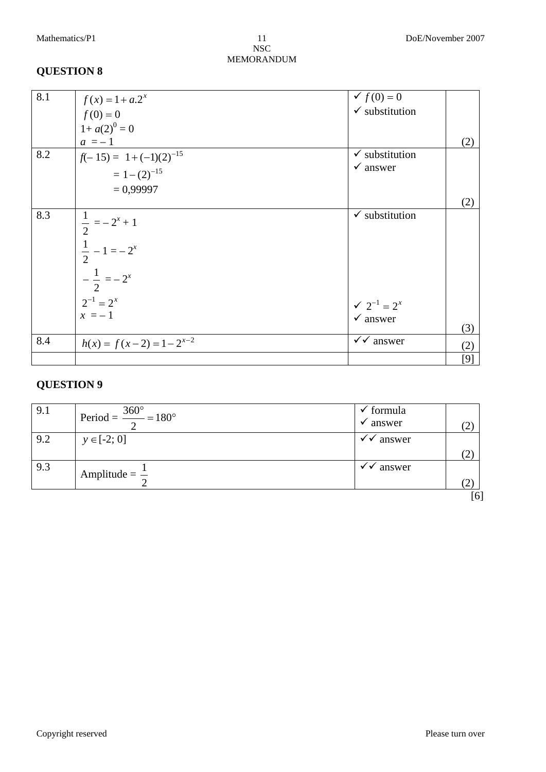## NSC MEMORANDUM

# **QUESTION 8**

| 8.1 | $f(x) = 1 + a.2^{x}$         | $f(0) = 0$                                    |     |
|-----|------------------------------|-----------------------------------------------|-----|
|     | $f(0) = 0$                   | $\checkmark$ substitution                     |     |
|     | $1 + a(2)^0 = 0$             |                                               |     |
|     | $a = -1$                     |                                               | (2) |
| 8.2 | $f(-15) = 1 + (-1)(2)^{-15}$ | $\checkmark$ substitution                     |     |
|     | $=1-(2)^{-15}$               | $\checkmark$ answer                           |     |
|     | $= 0,99997$                  |                                               |     |
|     |                              |                                               | (2) |
| 8.3 | $\frac{1}{2} = -2^x + 1$     | $\checkmark$ substitution                     |     |
|     | $\frac{1}{2} - 1 = -2^x$     |                                               |     |
|     |                              |                                               |     |
|     | $-\frac{1}{2} = -2^x$        |                                               |     |
|     |                              |                                               |     |
|     | $2^{-1} = 2^x$               | $\checkmark$ 2 <sup>-1</sup> = 2 <sup>x</sup> |     |
|     | $x = -1$                     | $\checkmark$ answer                           |     |
|     |                              |                                               | (3) |
| 8.4 | $h(x) = f(x-2) = 1-2^{x-2}$  | $\checkmark$ answer                           | (2) |
|     |                              |                                               | [9] |

| 9.1 | Period = $\frac{360^{\circ}}{2}$ = 180° | $\checkmark$ formula |     |
|-----|-----------------------------------------|----------------------|-----|
|     |                                         | $\checkmark$ answer  | (2) |
| 9.2 | $y \in [-2; 0]$                         | $\checkmark$ answer  |     |
|     |                                         |                      | (2) |
| 9.3 | Amplitude = $\frac{1}{2}$               | $\checkmark$ answer  |     |
|     |                                         |                      | (2) |
|     |                                         |                      | [6] |